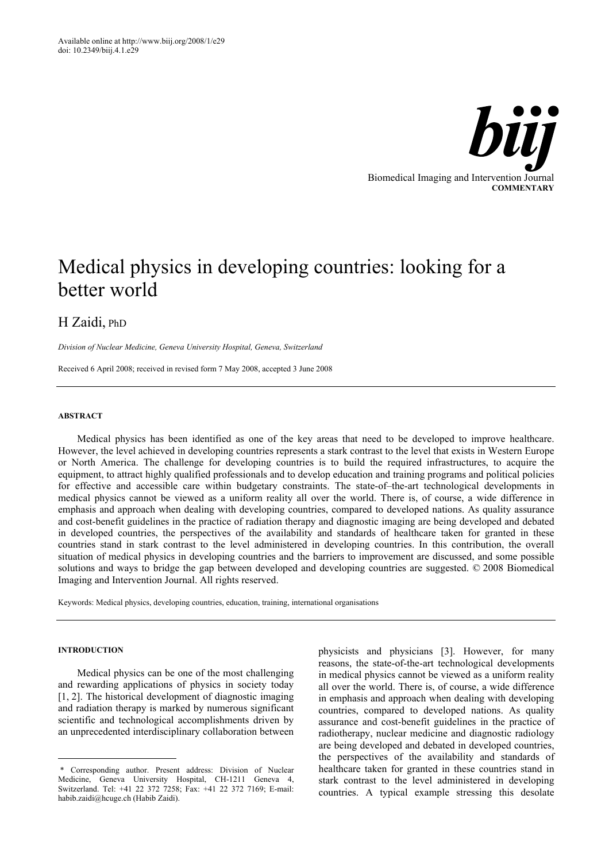

# Medical physics in developing countries: looking for a better world

# H Zaidi, PhD

Division of Nuclear Medicine, Geneva University Hospital, Geneva, Switzerland

Received 6 April 2008; received in revised form 7 May 2008, accepted 3 June 2008

#### ABSTRACT

Medical physics has been identified as one of the key areas that need to be developed to improve healthcare. However, the level achieved in developing countries represents a stark contrast to the level that exists in Western Europe or North America. The challenge for developing countries is to build the required infrastructures, to acquire the equipment, to attract highly qualified professionals and to develop education and training programs and political policies for effective and accessible care within budgetary constraints. The state-of–the-art technological developments in medical physics cannot be viewed as a uniform reality all over the world. There is, of course, a wide difference in emphasis and approach when dealing with developing countries, compared to developed nations. As quality assurance and cost-benefit guidelines in the practice of radiation therapy and diagnostic imaging are being developed and debated in developed countries, the perspectives of the availability and standards of healthcare taken for granted in these countries stand in stark contrast to the level administered in developing countries. In this contribution, the overall situation of medical physics in developing countries and the barriers to improvement are discussed, and some possible solutions and ways to bridge the gap between developed and developing countries are suggested. © 2008 Biomedical Imaging and Intervention Journal. All rights reserved.

Keywords: Medical physics, developing countries, education, training, international organisations

# INTRODUCTION

Medical physics can be one of the most challenging and rewarding applications of physics in society today [1, 2]. The historical development of diagnostic imaging and radiation therapy is marked by numerous significant scientific and technological accomplishments driven by an unprecedented interdisciplinary collaboration between

physicists and physicians [3]. However, for many reasons, the state-of-the-art technological developments in medical physics cannot be viewed as a uniform reality all over the world. There is, of course, a wide difference in emphasis and approach when dealing with developing countries, compared to developed nations. As quality assurance and cost-benefit guidelines in the practice of radiotherapy, nuclear medicine and diagnostic radiology are being developed and debated in developed countries, the perspectives of the availability and standards of healthcare taken for granted in these countries stand in stark contrast to the level administered in developing countries. A typical example stressing this desolate

<sup>\*</sup> Corresponding author. Present address: Division of Nuclear Medicine, Geneva University Hospital, CH-1211 Geneva 4, Switzerland. Tel: +41 22 372 7258; Fax: +41 22 372 7169; E-mail: habib.zaidi@hcuge.ch (Habib Zaidi).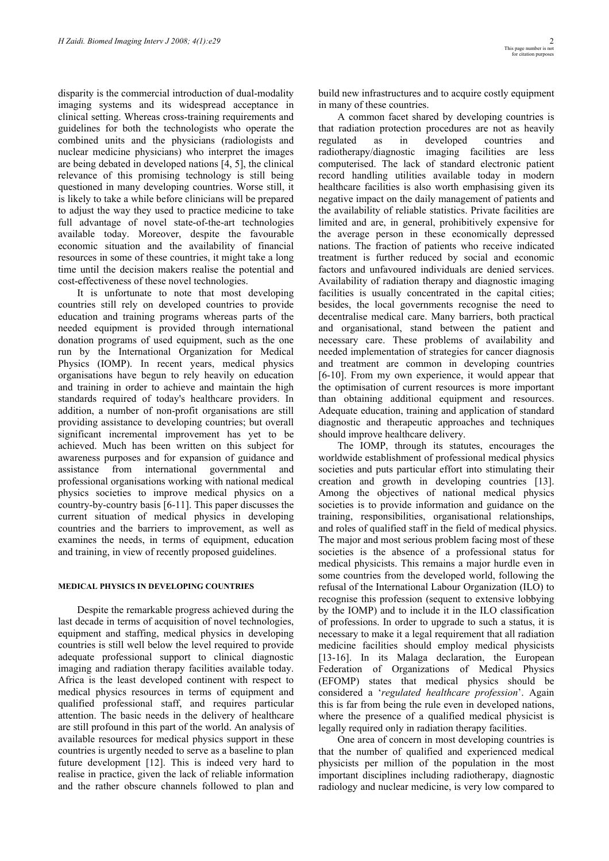disparity is the commercial introduction of dual-modality imaging systems and its widespread acceptance in clinical setting. Whereas cross-training requirements and guidelines for both the technologists who operate the combined units and the physicians (radiologists and nuclear medicine physicians) who interpret the images are being debated in developed nations [4, 5], the clinical relevance of this promising technology is still being questioned in many developing countries. Worse still, it is likely to take a while before clinicians will be prepared to adjust the way they used to practice medicine to take full advantage of novel state-of-the-art technologies available today. Moreover, despite the favourable economic situation and the availability of financial resources in some of these countries, it might take a long time until the decision makers realise the potential and cost-effectiveness of these novel technologies.

It is unfortunate to note that most developing countries still rely on developed countries to provide education and training programs whereas parts of the needed equipment is provided through international donation programs of used equipment, such as the one run by the International Organization for Medical Physics (IOMP). In recent years, medical physics organisations have begun to rely heavily on education and training in order to achieve and maintain the high standards required of today's healthcare providers. In addition, a number of non-profit organisations are still providing assistance to developing countries; but overall significant incremental improvement has yet to be achieved. Much has been written on this subject for awareness purposes and for expansion of guidance and assistance from international governmental and professional organisations working with national medical physics societies to improve medical physics on a country-by-country basis [6-11]. This paper discusses the current situation of medical physics in developing countries and the barriers to improvement, as well as examines the needs, in terms of equipment, education and training, in view of recently proposed guidelines.

# MEDICAL PHYSICS IN DEVELOPING COUNTRIES

Despite the remarkable progress achieved during the last decade in terms of acquisition of novel technologies, equipment and staffing, medical physics in developing countries is still well below the level required to provide adequate professional support to clinical diagnostic imaging and radiation therapy facilities available today. Africa is the least developed continent with respect to medical physics resources in terms of equipment and qualified professional staff, and requires particular attention. The basic needs in the delivery of healthcare are still profound in this part of the world. An analysis of available resources for medical physics support in these countries is urgently needed to serve as a baseline to plan future development [12]. This is indeed very hard to realise in practice, given the lack of reliable information and the rather obscure channels followed to plan and

build new infrastructures and to acquire costly equipment in many of these countries.

A common facet shared by developing countries is that radiation protection procedures are not as heavily regulated as in developed countries and radiotherapy/diagnostic imaging facilities are less computerised. The lack of standard electronic patient record handling utilities available today in modern healthcare facilities is also worth emphasising given its negative impact on the daily management of patients and the availability of reliable statistics. Private facilities are limited and are, in general, prohibitively expensive for the average person in these economically depressed nations. The fraction of patients who receive indicated treatment is further reduced by social and economic factors and unfavoured individuals are denied services. Availability of radiation therapy and diagnostic imaging facilities is usually concentrated in the capital cities; besides, the local governments recognise the need to decentralise medical care. Many barriers, both practical and organisational, stand between the patient and necessary care. These problems of availability and needed implementation of strategies for cancer diagnosis and treatment are common in developing countries [6-10]. From my own experience, it would appear that the optimisation of current resources is more important than obtaining additional equipment and resources. Adequate education, training and application of standard diagnostic and therapeutic approaches and techniques should improve healthcare delivery.

The IOMP, through its statutes, encourages the worldwide establishment of professional medical physics societies and puts particular effort into stimulating their creation and growth in developing countries [13]. Among the objectives of national medical physics societies is to provide information and guidance on the training, responsibilities, organisational relationships, and roles of qualified staff in the field of medical physics. The major and most serious problem facing most of these societies is the absence of a professional status for medical physicists. This remains a major hurdle even in some countries from the developed world, following the refusal of the International Labour Organization (ILO) to recognise this profession (sequent to extensive lobbying by the IOMP) and to include it in the ILO classification of professions. In order to upgrade to such a status, it is necessary to make it a legal requirement that all radiation medicine facilities should employ medical physicists [13-16]. In its Malaga declaration, the European Federation of Organizations of Medical Physics (EFOMP) states that medical physics should be considered a 'regulated healthcare profession'. Again this is far from being the rule even in developed nations, where the presence of a qualified medical physicist is legally required only in radiation therapy facilities.

One area of concern in most developing countries is that the number of qualified and experienced medical physicists per million of the population in the most important disciplines including radiotherapy, diagnostic radiology and nuclear medicine, is very low compared to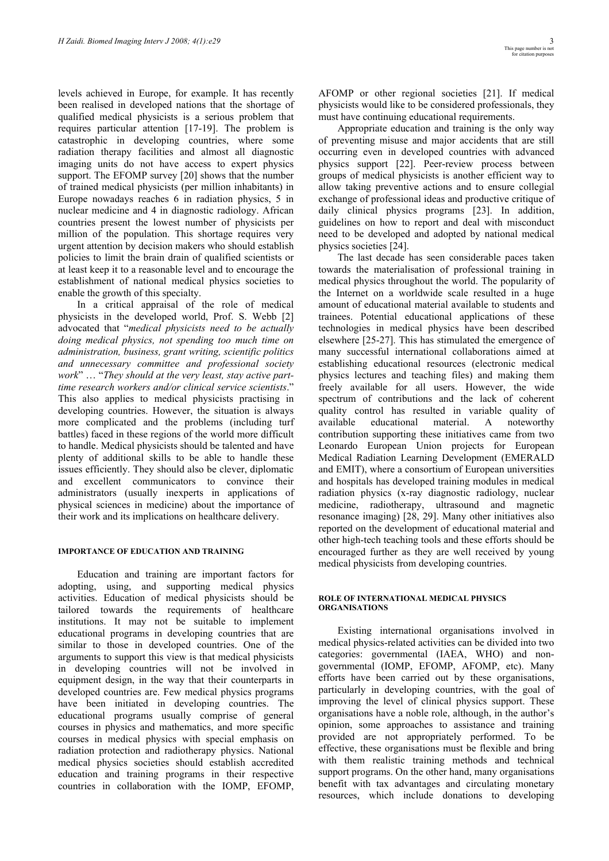levels achieved in Europe, for example. It has recently been realised in developed nations that the shortage of qualified medical physicists is a serious problem that requires particular attention [17-19]. The problem is catastrophic in developing countries, where some radiation therapy facilities and almost all diagnostic imaging units do not have access to expert physics support. The EFOMP survey [20] shows that the number of trained medical physicists (per million inhabitants) in Europe nowadays reaches 6 in radiation physics, 5 in nuclear medicine and 4 in diagnostic radiology. African countries present the lowest number of physicists per million of the population. This shortage requires very urgent attention by decision makers who should establish policies to limit the brain drain of qualified scientists or at least keep it to a reasonable level and to encourage the establishment of national medical physics societies to enable the growth of this specialty.

In a critical appraisal of the role of medical physicists in the developed world, Prof. S. Webb [2] advocated that "medical physicists need to be actually doing medical physics, not spending too much time on administration, business, grant writing, scientific politics and unnecessary committee and professional society work" … "They should at the very least, stay active parttime research workers and/or clinical service scientists." This also applies to medical physicists practising in developing countries. However, the situation is always more complicated and the problems (including turf battles) faced in these regions of the world more difficult to handle. Medical physicists should be talented and have plenty of additional skills to be able to handle these issues efficiently. They should also be clever, diplomatic and excellent communicators to convince their administrators (usually inexperts in applications of physical sciences in medicine) about the importance of their work and its implications on healthcare delivery.

# IMPORTANCE OF EDUCATION AND TRAINING

Education and training are important factors for adopting, using, and supporting medical physics activities. Education of medical physicists should be tailored towards the requirements of healthcare institutions. It may not be suitable to implement educational programs in developing countries that are similar to those in developed countries. One of the arguments to support this view is that medical physicists in developing countries will not be involved in equipment design, in the way that their counterparts in developed countries are. Few medical physics programs have been initiated in developing countries. The educational programs usually comprise of general courses in physics and mathematics, and more specific courses in medical physics with special emphasis on radiation protection and radiotherapy physics. National medical physics societies should establish accredited education and training programs in their respective countries in collaboration with the IOMP, EFOMP,

AFOMP or other regional societies [21]. If medical physicists would like to be considered professionals, they must have continuing educational requirements.

Appropriate education and training is the only way of preventing misuse and major accidents that are still occurring even in developed countries with advanced physics support [22]. Peer-review process between groups of medical physicists is another efficient way to allow taking preventive actions and to ensure collegial exchange of professional ideas and productive critique of daily clinical physics programs [23]. In addition, guidelines on how to report and deal with misconduct need to be developed and adopted by national medical physics societies [24].

The last decade has seen considerable paces taken towards the materialisation of professional training in medical physics throughout the world. The popularity of the Internet on a worldwide scale resulted in a huge amount of educational material available to students and trainees. Potential educational applications of these technologies in medical physics have been described elsewhere [25-27]. This has stimulated the emergence of many successful international collaborations aimed at establishing educational resources (electronic medical physics lectures and teaching files) and making them freely available for all users. However, the wide spectrum of contributions and the lack of coherent quality control has resulted in variable quality of available educational material. A noteworthy contribution supporting these initiatives came from two Leonardo European Union projects for European Medical Radiation Learning Development (EMERALD and EMIT), where a consortium of European universities and hospitals has developed training modules in medical radiation physics (x-ray diagnostic radiology, nuclear medicine, radiotherapy, ultrasound and magnetic resonance imaging) [28, 29]. Many other initiatives also reported on the development of educational material and other high-tech teaching tools and these efforts should be encouraged further as they are well received by young medical physicists from developing countries.

#### ROLE OF INTERNATIONAL MEDICAL PHYSICS ORGANISATIONS

Existing international organisations involved in medical physics-related activities can be divided into two categories: governmental (IAEA, WHO) and nongovernmental (IOMP, EFOMP, AFOMP, etc). Many efforts have been carried out by these organisations, particularly in developing countries, with the goal of improving the level of clinical physics support. These organisations have a noble role, although, in the author's opinion, some approaches to assistance and training provided are not appropriately performed. To be effective, these organisations must be flexible and bring with them realistic training methods and technical support programs. On the other hand, many organisations benefit with tax advantages and circulating monetary resources, which include donations to developing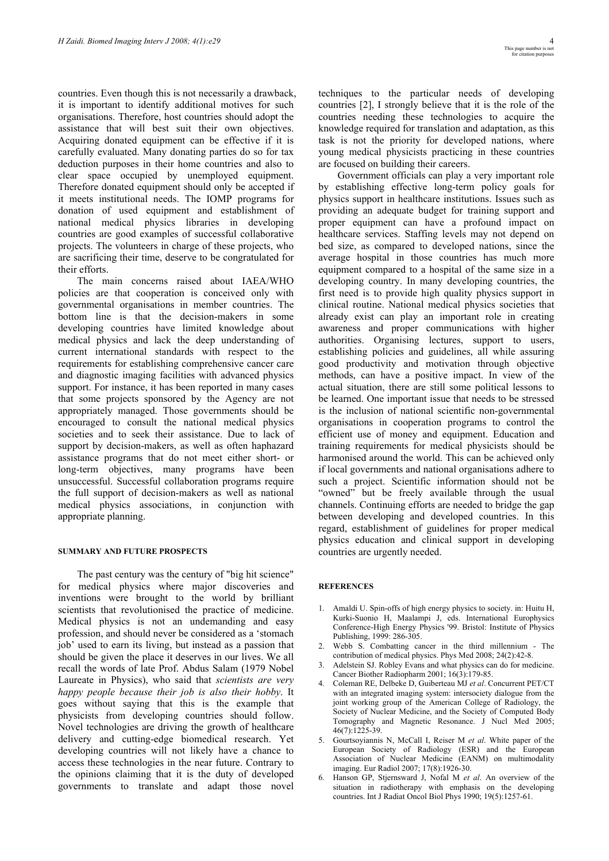countries. Even though this is not necessarily a drawback, it is important to identify additional motives for such organisations. Therefore, host countries should adopt the assistance that will best suit their own objectives. Acquiring donated equipment can be effective if it is carefully evaluated. Many donating parties do so for tax deduction purposes in their home countries and also to clear space occupied by unemployed equipment. Therefore donated equipment should only be accepted if it meets institutional needs. The IOMP programs for donation of used equipment and establishment of national medical physics libraries in developing countries are good examples of successful collaborative projects. The volunteers in charge of these projects, who are sacrificing their time, deserve to be congratulated for their efforts.

The main concerns raised about IAEA/WHO policies are that cooperation is conceived only with governmental organisations in member countries. The bottom line is that the decision-makers in some developing countries have limited knowledge about medical physics and lack the deep understanding of current international standards with respect to the requirements for establishing comprehensive cancer care and diagnostic imaging facilities with advanced physics support. For instance, it has been reported in many cases that some projects sponsored by the Agency are not appropriately managed. Those governments should be encouraged to consult the national medical physics societies and to seek their assistance. Due to lack of support by decision-makers, as well as often haphazard assistance programs that do not meet either short- or long-term objectives, many programs have been unsuccessful. Successful collaboration programs require the full support of decision-makers as well as national medical physics associations, in conjunction with appropriate planning.

# SUMMARY AND FUTURE PROSPECTS

The past century was the century of "big hit science" for medical physics where major discoveries and inventions were brought to the world by brilliant scientists that revolutionised the practice of medicine. Medical physics is not an undemanding and easy profession, and should never be considered as a 'stomach job' used to earn its living, but instead as a passion that should be given the place it deserves in our lives. We all recall the words of late Prof. Abdus Salam (1979 Nobel Laureate in Physics), who said that *scientists are very* happy people because their job is also their hobby. It goes without saying that this is the example that physicists from developing countries should follow. Novel technologies are driving the growth of healthcare delivery and cutting-edge biomedical research. Yet developing countries will not likely have a chance to access these technologies in the near future. Contrary to the opinions claiming that it is the duty of developed governments to translate and adapt those novel

techniques to the particular needs of developing countries [2], I strongly believe that it is the role of the countries needing these technologies to acquire the knowledge required for translation and adaptation, as this task is not the priority for developed nations, where young medical physicists practicing in these countries are focused on building their careers.

Government officials can play a very important role by establishing effective long-term policy goals for physics support in healthcare institutions. Issues such as providing an adequate budget for training support and proper equipment can have a profound impact on healthcare services. Staffing levels may not depend on bed size, as compared to developed nations, since the average hospital in those countries has much more equipment compared to a hospital of the same size in a developing country. In many developing countries, the first need is to provide high quality physics support in clinical routine. National medical physics societies that already exist can play an important role in creating awareness and proper communications with higher authorities. Organising lectures, support to users, establishing policies and guidelines, all while assuring good productivity and motivation through objective methods, can have a positive impact. In view of the actual situation, there are still some political lessons to be learned. One important issue that needs to be stressed is the inclusion of national scientific non-governmental organisations in cooperation programs to control the efficient use of money and equipment. Education and training requirements for medical physicists should be harmonised around the world. This can be achieved only if local governments and national organisations adhere to such a project. Scientific information should not be "owned" but be freely available through the usual channels. Continuing efforts are needed to bridge the gap between developing and developed countries. In this regard, establishment of guidelines for proper medical physics education and clinical support in developing countries are urgently needed.

# **REFERENCES**

- 1. Amaldi U. Spin-offs of high energy physics to society. in: Huitu H, Kurki-Suonio H, Maalampi J, eds. International Europhysics Conference-High Energy Physics '99. Bristol: Institute of Physics Publishing, 1999: 286-305.
- 2. Webb S. Combatting cancer in the third millennium The contribution of medical physics. Phys Med 2008; 24(2):42-8.
- 3. Adelstein SJ. Robley Evans and what physics can do for medicine. Cancer Biother Radiopharm 2001; 16(3):179-85.
- 4. Coleman RE, Delbeke D, Guiberteau MJ et al. Concurrent PET/CT with an integrated imaging system: intersociety dialogue from the joint working group of the American College of Radiology, the Society of Nuclear Medicine, and the Society of Computed Body Tomography and Magnetic Resonance. J Nucl Med 2005; 46(7):1225-39.
- 5. Gourtsoyiannis N, McCall I, Reiser M et al. White paper of the European Society of Radiology (ESR) and the European Association of Nuclear Medicine (EANM) on multimodality imaging. Eur Radiol 2007; 17(8):1926-30.
- Hanson GP, Stjernsward J, Nofal M et al. An overview of the situation in radiotherapy with emphasis on the developing countries. Int J Radiat Oncol Biol Phys 1990; 19(5):1257-61.